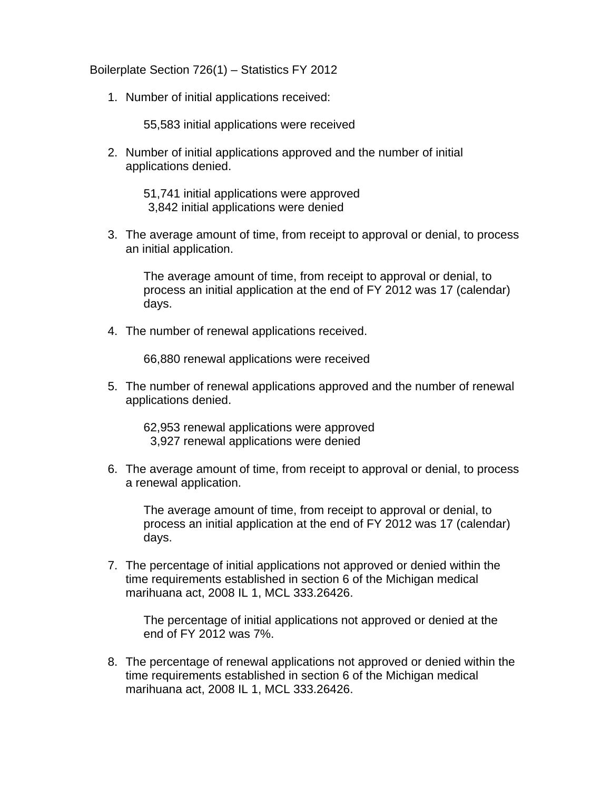Boilerplate Section 726(1) – Statistics FY 2012

1. Number of initial applications received:

55,583 initial applications were received

2. Number of initial applications approved and the number of initial applications denied.

> 51,741 initial applications were approved 3,842 initial applications were denied

3. The average amount of time, from receipt to approval or denial, to process an initial application.

The average amount of time, from receipt to approval or denial, to process an initial application at the end of FY 2012 was 17 (calendar) days.

4. The number of renewal applications received.

66,880 renewal applications were received

5. The number of renewal applications approved and the number of renewal applications denied.

62,953 renewal applications were approved 3,927 renewal applications were denied

6. The average amount of time, from receipt to approval or denial, to process a renewal application.

The average amount of time, from receipt to approval or denial, to process an initial application at the end of FY 2012 was 17 (calendar) days.

7. The percentage of initial applications not approved or denied within the time requirements established in section 6 of the Michigan medical marihuana act, 2008 IL 1, MCL 333.26426.

The percentage of initial applications not approved or denied at the end of FY 2012 was 7%.

8. The percentage of renewal applications not approved or denied within the time requirements established in section 6 of the Michigan medical marihuana act, 2008 IL 1, MCL 333.26426.